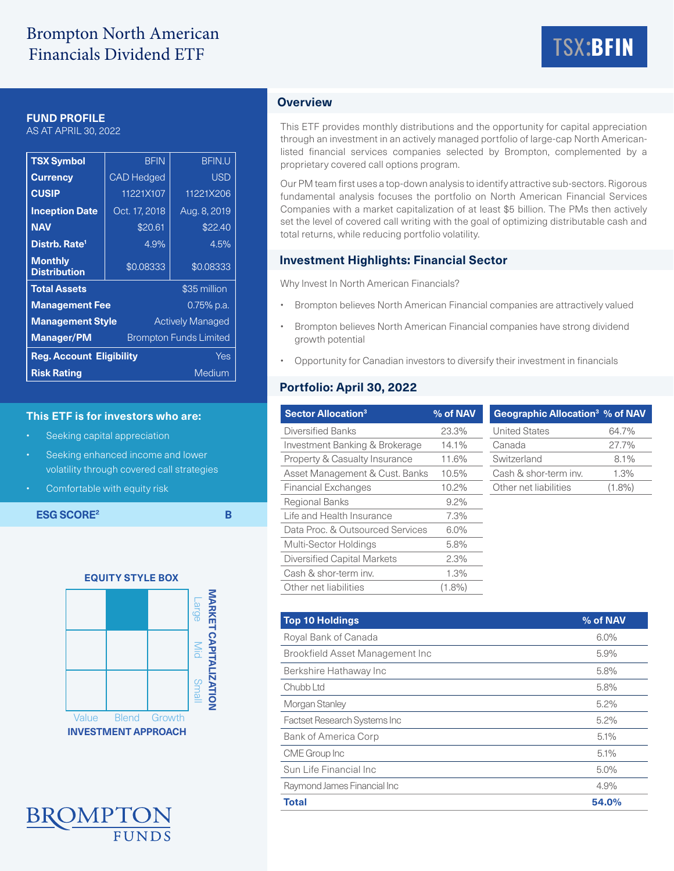# Brompton North American Financials Dividend ETF



# **FUND PROFILE**

AS AT APRIL 30, 2022

| <b>TSX Symbol</b>                                  | <b>BFIN</b>                   | <b>BFIN.U</b> |  |  |  |
|----------------------------------------------------|-------------------------------|---------------|--|--|--|
| <b>Currency</b>                                    | <b>CAD</b> Hedged             | <b>USD</b>    |  |  |  |
| <b>CUSIP</b>                                       | 11221X107                     | 11221X206     |  |  |  |
| <b>Inception Date</b>                              | Oct. 17, 2018                 | Aug. 8, 2019  |  |  |  |
| <b>NAV</b>                                         | \$20.61                       | \$22.40       |  |  |  |
| Distrb. Rate <sup>1</sup>                          | 4.9%                          | 4.5%          |  |  |  |
| <b>Monthly</b><br><b>Distribution</b>              | \$0.08333                     | \$0.08333     |  |  |  |
| <b>Total Assets</b>                                |                               | \$35 million  |  |  |  |
| <b>Management Fee</b>                              |                               | $0.75%$ p.a.  |  |  |  |
| <b>Management Style</b><br><b>Actively Managed</b> |                               |               |  |  |  |
| <b>Manager/PM</b>                                  | <b>Brompton Funds Limited</b> |               |  |  |  |
| <b>Reg. Account Eligibility</b><br>Yes             |                               |               |  |  |  |
| Medium<br><b>Risk Rating</b>                       |                               |               |  |  |  |

#### **This ETF is for investors who are:**

- Seeking capital appreciation
- Seeking enhanced income and lower volatility through covered call strategies
- Comfortable with equity risk

**ESG SCORE<sup>2</sup> B** 





# **Overview**

This ETF provides monthly distributions and the opportunity for capital appreciation through an investment in an actively managed portfolio of large-cap North Americanlisted financial services companies selected by Brompton, complemented by a proprietary covered call options program.

Our PM team first uses a top-down analysis to identify attractive sub-sectors. Rigorous fundamental analysis focuses the portfolio on North American Financial Services Companies with a market capitalization of at least \$5 billion. The PMs then actively set the level of covered call writing with the goal of optimizing distributable cash and total returns, while reducing portfolio volatility.

# **Investment Highlights: Financial Sector**

Why Invest In North American Financials?

- Brompton believes North American Financial companies are attractively valued
- Brompton believes North American Financial companies have strong dividend growth potential
- Opportunity for Canadian investors to diversify their investment in financials

# **Portfolio: April 30, 2022**

| <b>Sector Allocation<sup>3</sup></b> | % of NAV  | Geographic Allocation <sup>3</sup> % of NAV |           |
|--------------------------------------|-----------|---------------------------------------------|-----------|
| Diversified Banks                    | 23.3%     | <b>United States</b>                        | 64.7%     |
| Investment Banking & Brokerage       | 14.1%     | Canada                                      | 27.7%     |
| Property & Casualty Insurance        | 11.6%     | Switzerland                                 | 8.1%      |
| Asset Management & Cust. Banks       | 10.5%     | Cash & shor-term inv.                       | 1.3%      |
| <b>Financial Exchanges</b>           | 10.2%     | Other net liabilities                       | $(1.8\%)$ |
| <b>Regional Banks</b>                | $9.2\%$   |                                             |           |
| Life and Health Insurance            | 7.3%      |                                             |           |
| Data Proc. & Outsourced Services     | 6.0%      |                                             |           |
| Multi-Sector Holdings                | 5.8%      |                                             |           |
| Diversified Capital Markets          | 2.3%      |                                             |           |
| Cash & shor-term inv.                | 1.3%      |                                             |           |
| Other net liabilities                | $(1.8\%)$ |                                             |           |

| <b>Top 10 Holdings</b>              | % of NAV |
|-------------------------------------|----------|
| Royal Bank of Canada                | 6.0%     |
| Brookfield Asset Management Inc     | 5.9%     |
| Berkshire Hathaway Inc              | 5.8%     |
| Chubb Ltd                           | 5.8%     |
| Morgan Stanley                      | 5.2%     |
| <b>Factset Research Systems Inc</b> | 5.2%     |
| <b>Bank of America Corp</b>         | 5.1%     |
| CME Group Inc                       | 5.1%     |
| Sun Life Financial Inc.             | 5.0%     |
| Raymond James Financial Inc         | 4.9%     |
| <b>Total</b>                        | 54.0%    |